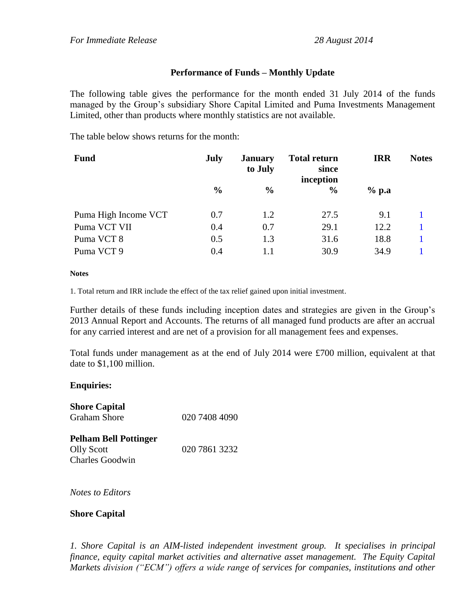## **Performance of Funds – Monthly Update**

The following table gives the performance for the month ended 31 July 2014 of the funds managed by the Group's subsidiary Shore Capital Limited and Puma Investments Management Limited, other than products where monthly statistics are not available.

The table below shows returns for the month:

| <b>Fund</b>          | July          | <b>January</b><br>to July | <b>Total return</b><br>since<br>inception | <b>IRR</b> | <b>Notes</b> |
|----------------------|---------------|---------------------------|-------------------------------------------|------------|--------------|
|                      | $\frac{0}{0}$ | $\frac{0}{0}$             | $\frac{0}{0}$                             | $%$ p.a    |              |
| Puma High Income VCT | 0.7           | 1.2                       | 27.5                                      | 9.1        |              |
| Puma VCT VII         | 0.4           | 0.7                       | 29.1                                      | 12.2       |              |
| Puma VCT 8           | 0.5           | 1.3                       | 31.6                                      | 18.8       |              |
| Puma VCT 9           | 0.4           | 1.1                       | 30.9                                      | 34.9       |              |

## **Notes**

1. Total return and IRR include the effect of the tax relief gained upon initial investment.

Further details of these funds including inception dates and strategies are given in the Group's 2013 Annual Report and Accounts. The returns of all managed fund products are after an accrual for any carried interest and are net of a provision for all management fees and expenses.

Total funds under management as at the end of July 2014 were £700 million, equivalent at that date to \$1,100 million.

## **Enquiries:**

| <b>Shore Capital</b><br><b>Graham Shore</b>                                 | 020 7408 4090 |
|-----------------------------------------------------------------------------|---------------|
| <b>Pelham Bell Pottinger</b><br><b>Olly Scott</b><br><b>Charles Goodwin</b> | 020 7861 3232 |

*Notes to Editors*

## **Shore Capital**

*1. Shore Capital is an AIM-listed independent investment group. It specialises in principal finance, equity capital market activities and alternative asset management. The Equity Capital Markets division ("ECM") offers a wide range of services for companies, institutions and other*